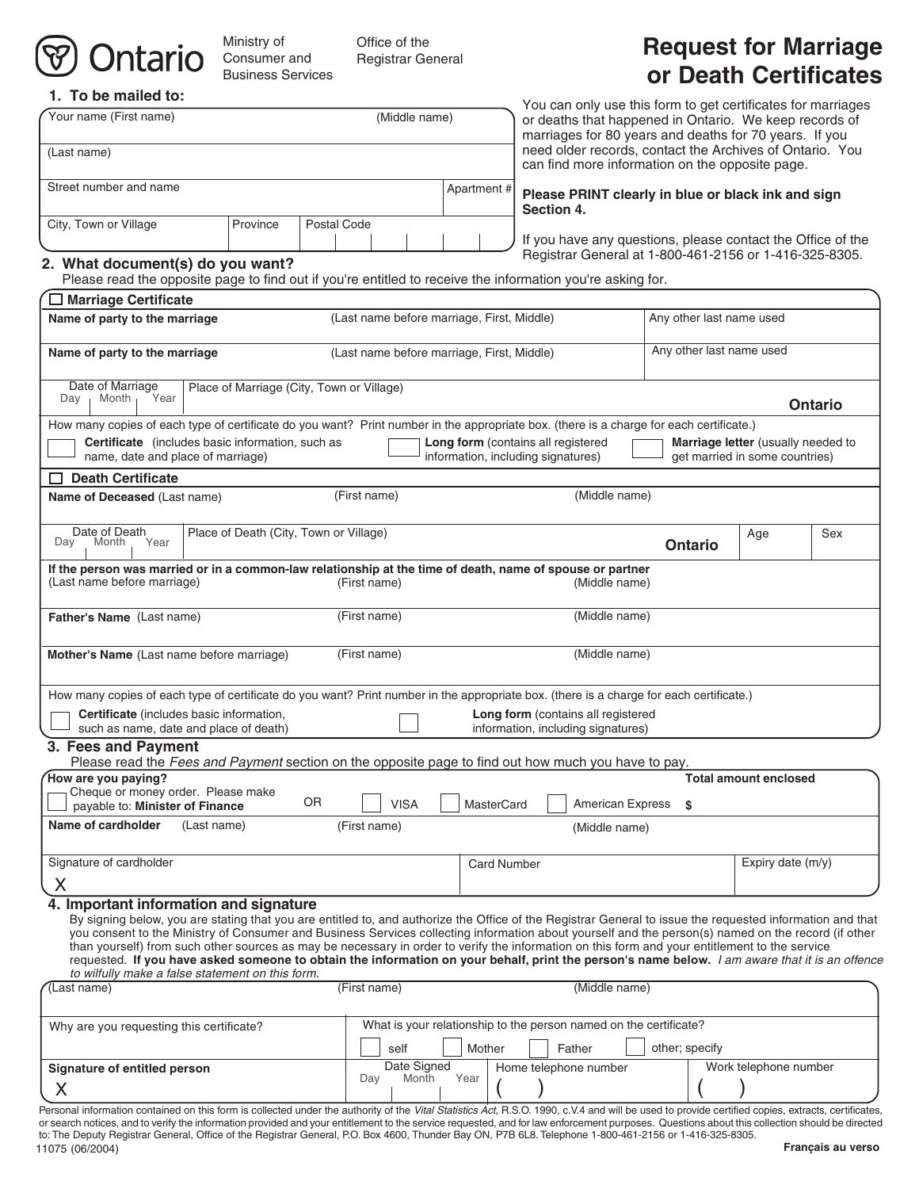# Ontario

Ministry of Consumer and Business Services

Office of the Registrar General

# **Request for Marriage or Death Certificates**

| 1. To be mailed to:                                                                                                                                                                                                                                                                                                                                                                                                                                                                                                                                                                                                                                                                                                              |                                           |                                                                                       |                             |                          |                                                                                                                                                                                  |                                                                      |                                                                                                             |                              |     |
|----------------------------------------------------------------------------------------------------------------------------------------------------------------------------------------------------------------------------------------------------------------------------------------------------------------------------------------------------------------------------------------------------------------------------------------------------------------------------------------------------------------------------------------------------------------------------------------------------------------------------------------------------------------------------------------------------------------------------------|-------------------------------------------|---------------------------------------------------------------------------------------|-----------------------------|--------------------------|----------------------------------------------------------------------------------------------------------------------------------------------------------------------------------|----------------------------------------------------------------------|-------------------------------------------------------------------------------------------------------------|------------------------------|-----|
| Your name (First name)<br>(Middle name)                                                                                                                                                                                                                                                                                                                                                                                                                                                                                                                                                                                                                                                                                          |                                           |                                                                                       |                             |                          | You can only use this form to get certificates for marriages<br>or deaths that happened in Ontario. We keep records of<br>marriages for 80 years and deaths for 70 years. If you |                                                                      |                                                                                                             |                              |     |
| (Last name)                                                                                                                                                                                                                                                                                                                                                                                                                                                                                                                                                                                                                                                                                                                      |                                           |                                                                                       |                             |                          |                                                                                                                                                                                  |                                                                      | need older records, contact the Archives of Ontario. You<br>can find more information on the opposite page. |                              |     |
| Street number and name                                                                                                                                                                                                                                                                                                                                                                                                                                                                                                                                                                                                                                                                                                           |                                           |                                                                                       |                             |                          | Apartment #<br>Please PRINT clearly in blue or black ink and sign<br><b>Section 4.</b>                                                                                           |                                                                      |                                                                                                             |                              |     |
| City, Town or Village                                                                                                                                                                                                                                                                                                                                                                                                                                                                                                                                                                                                                                                                                                            | Postal Code                               |                                                                                       |                             |                          |                                                                                                                                                                                  | If you have any questions, please contact the Office of the          |                                                                                                             |                              |     |
| 2. What document(s) do you want?<br>Please read the opposite page to find out if you're entitled to receive the information you're asking for.                                                                                                                                                                                                                                                                                                                                                                                                                                                                                                                                                                                   |                                           |                                                                                       |                             |                          |                                                                                                                                                                                  |                                                                      | Registrar General at 1-800-461-2156 or 1-416-325-8305.                                                      |                              |     |
| $\Box$ Marriage Certificate                                                                                                                                                                                                                                                                                                                                                                                                                                                                                                                                                                                                                                                                                                      |                                           |                                                                                       |                             |                          |                                                                                                                                                                                  |                                                                      |                                                                                                             |                              |     |
| Name of party to the marriage                                                                                                                                                                                                                                                                                                                                                                                                                                                                                                                                                                                                                                                                                                    |                                           | (Last name before marriage, First, Middle)                                            |                             | Any other last name used |                                                                                                                                                                                  |                                                                      |                                                                                                             |                              |     |
| Name of party to the marriage                                                                                                                                                                                                                                                                                                                                                                                                                                                                                                                                                                                                                                                                                                    |                                           | (Last name before marriage, First, Middle)                                            |                             |                          |                                                                                                                                                                                  | Any other last name used                                             |                                                                                                             |                              |     |
| Date of Marriage<br>Year<br>Month,<br>Day                                                                                                                                                                                                                                                                                                                                                                                                                                                                                                                                                                                                                                                                                        | Place of Marriage (City, Town or Village) |                                                                                       |                             |                          |                                                                                                                                                                                  | <b>Ontario</b>                                                       |                                                                                                             |                              |     |
| How many copies of each type of certificate do you want? Print number in the appropriate box. (there is a charge for each certificate.)                                                                                                                                                                                                                                                                                                                                                                                                                                                                                                                                                                                          |                                           |                                                                                       |                             |                          |                                                                                                                                                                                  |                                                                      |                                                                                                             |                              |     |
| Certificate (includes basic information, such as<br>name, date and place of marriage)                                                                                                                                                                                                                                                                                                                                                                                                                                                                                                                                                                                                                                            |                                           | Long form (contains all registered<br>information, including signatures)              |                             |                          |                                                                                                                                                                                  | Marriage letter (usually needed to<br>get married in some countries) |                                                                                                             |                              |     |
| <b>Death Certificate</b>                                                                                                                                                                                                                                                                                                                                                                                                                                                                                                                                                                                                                                                                                                         |                                           |                                                                                       |                             |                          |                                                                                                                                                                                  |                                                                      |                                                                                                             |                              |     |
| Name of Deceased (Last name)                                                                                                                                                                                                                                                                                                                                                                                                                                                                                                                                                                                                                                                                                                     |                                           |                                                                                       | (First name)                |                          |                                                                                                                                                                                  | (Middle name)                                                        |                                                                                                             |                              |     |
| Date of Death<br>Month<br>Year<br>Day                                                                                                                                                                                                                                                                                                                                                                                                                                                                                                                                                                                                                                                                                            | Place of Death (City, Town or Village)    |                                                                                       |                             |                          |                                                                                                                                                                                  |                                                                      | <b>Ontario</b>                                                                                              | Age                          | Sex |
| If the person was married or in a common-law relationship at the time of death, name of spouse or partner<br>(Last name before marriage)                                                                                                                                                                                                                                                                                                                                                                                                                                                                                                                                                                                         |                                           |                                                                                       | (First name)                |                          |                                                                                                                                                                                  | (Middle name)                                                        |                                                                                                             |                              |     |
| Father's Name (Last name)                                                                                                                                                                                                                                                                                                                                                                                                                                                                                                                                                                                                                                                                                                        |                                           |                                                                                       | (First name)                |                          |                                                                                                                                                                                  | (Middle name)                                                        |                                                                                                             |                              |     |
| Mother's Name (Last name before marriage)                                                                                                                                                                                                                                                                                                                                                                                                                                                                                                                                                                                                                                                                                        |                                           |                                                                                       | (First name)                |                          |                                                                                                                                                                                  | (Middle name)                                                        |                                                                                                             |                              |     |
| How many copies of each type of certificate do you want? Print number in the appropriate box. (there is a charge for each certificate.)<br>Certificate (includes basic information,<br>such as name, date and place of death)                                                                                                                                                                                                                                                                                                                                                                                                                                                                                                    |                                           |                                                                                       |                             |                          | information, including signatures)                                                                                                                                               | Long form (contains all registered                                   |                                                                                                             |                              |     |
| 3. Fees and Payment                                                                                                                                                                                                                                                                                                                                                                                                                                                                                                                                                                                                                                                                                                              |                                           |                                                                                       |                             |                          |                                                                                                                                                                                  |                                                                      |                                                                                                             |                              |     |
| Please read the Fees and Payment section on the opposite page to find out how much you have to pay.<br>How are you paying?                                                                                                                                                                                                                                                                                                                                                                                                                                                                                                                                                                                                       |                                           |                                                                                       |                             |                          |                                                                                                                                                                                  |                                                                      |                                                                                                             | <b>Total amount enclosed</b> |     |
| Cheque or money order. Please make<br>0R<br>payable to: Minister of Finance                                                                                                                                                                                                                                                                                                                                                                                                                                                                                                                                                                                                                                                      |                                           |                                                                                       | <b>VISA</b><br>MasterCard   |                          |                                                                                                                                                                                  | American Express                                                     | \$                                                                                                          |                              |     |
| Name of cardholder<br>(Last name)                                                                                                                                                                                                                                                                                                                                                                                                                                                                                                                                                                                                                                                                                                | (First name)                              | (Middle name)                                                                         |                             |                          |                                                                                                                                                                                  |                                                                      |                                                                                                             |                              |     |
| Signature of cardholder                                                                                                                                                                                                                                                                                                                                                                                                                                                                                                                                                                                                                                                                                                          |                                           | <b>Card Number</b>                                                                    |                             |                          |                                                                                                                                                                                  | Expiry date (m/y)                                                    |                                                                                                             |                              |     |
| X                                                                                                                                                                                                                                                                                                                                                                                                                                                                                                                                                                                                                                                                                                                                |                                           |                                                                                       |                             |                          |                                                                                                                                                                                  |                                                                      |                                                                                                             |                              |     |
| 4. Important information and signature<br>By signing below, you are stating that you are entitled to, and authorize the Office of the Registrar General to issue the requested information and that<br>you consent to the Ministry of Consumer and Business Services collecting information about yourself and the person(s) named on the record (if other<br>than yourself) from such other sources as may be necessary in order to verify the information on this form and your entitlement to the service<br>requested. If you have asked someone to obtain the information on your behalf, print the person's name below. I am aware that it is an offence<br>to wilfully make a false statement on this form.<br>Last name) |                                           |                                                                                       | (First name)                |                          |                                                                                                                                                                                  | (Middle name)                                                        |                                                                                                             |                              |     |
|                                                                                                                                                                                                                                                                                                                                                                                                                                                                                                                                                                                                                                                                                                                                  |                                           |                                                                                       |                             |                          |                                                                                                                                                                                  |                                                                      |                                                                                                             |                              |     |
| Why are you requesting this certificate?                                                                                                                                                                                                                                                                                                                                                                                                                                                                                                                                                                                                                                                                                         | self                                      | What is your relationship to the person named on the certificate?<br>Mother<br>Father |                             |                          | other; specify                                                                                                                                                                   |                                                                      |                                                                                                             |                              |     |
| Signature of entitled person<br>X                                                                                                                                                                                                                                                                                                                                                                                                                                                                                                                                                                                                                                                                                                |                                           |                                                                                       | Date Signed<br>Month<br>Day | Year                     | Home telephone number                                                                                                                                                            |                                                                      |                                                                                                             | Work telephone number        |     |
| Personal information contained on this form is collected under the authority of the Vital Statistics Act, R.S.O. 1990, c.V.4 and will be used to provide certified copies, extracts, certificates,                                                                                                                                                                                                                                                                                                                                                                                                                                                                                                                               |                                           |                                                                                       |                             |                          |                                                                                                                                                                                  |                                                                      |                                                                                                             |                              |     |

11075 (06/2004) or search notices, and to verify the information provided and your entitlement to the service requested, and for law enforcement purposes. Questions about this collection should be directed to: The Deputy Registrar General, Office of the Registrar General, P.O. Box 4600, Thunder Bay ON, P7B 6L8. Telephone 1-800-461-2156 or 1-416-325-8305.